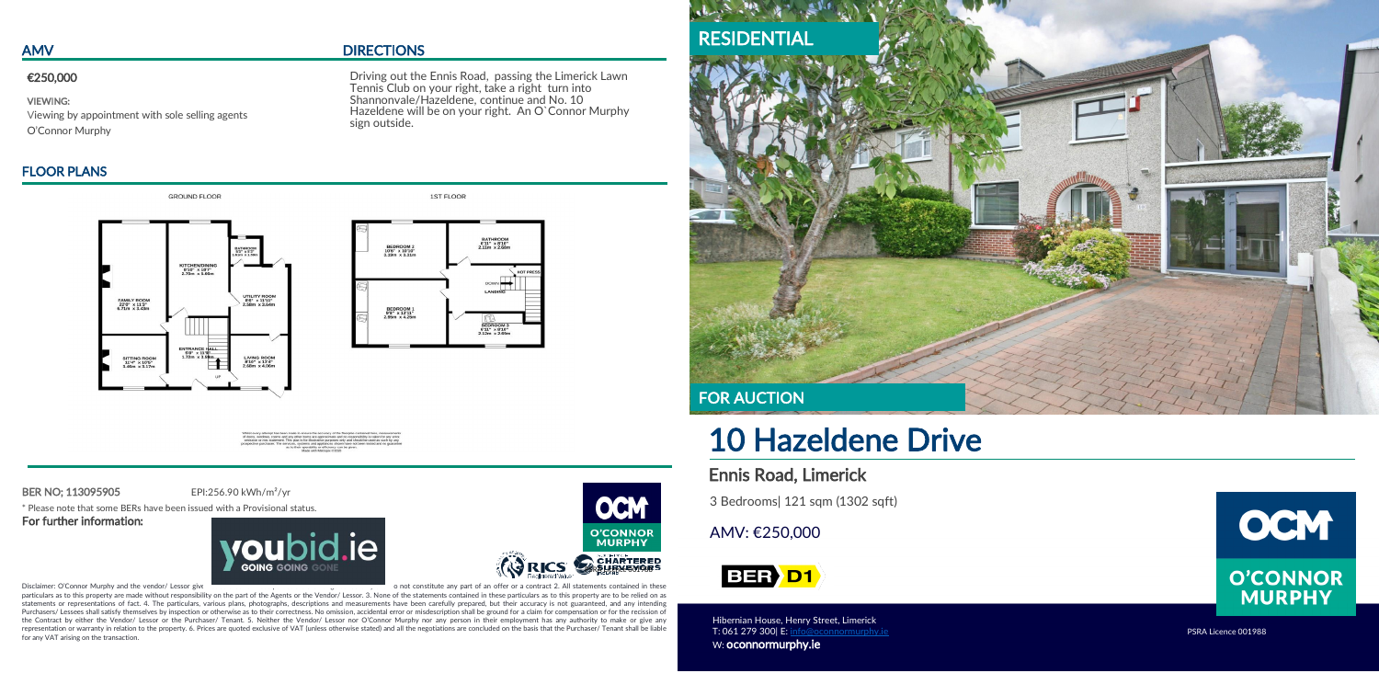# FLOOR PLANS



GROUND ELOOR

# AMV DIRECTIONS

ł

BER NO; 113095905 EPI:256.90 kWh/m²/yr

\* Please note that some BERs have been issued with a Provisional status. For further information:





Disclaimer: O'Connor Murphy and the vendor/ Lessor give notice that 1. The 1. These particulars are for guidance only and do not constitute any part of an offer or a contract 2. All statements contained in these particulars as to this property are made without responsibility on the part of the Agents or the Vendor/ Lessor. 3. None of the statements contained in these particulars as to this property are to be relied on as statements or representations of fact. 4. The particulars, various plans, photographs, descriptions and measurements have been carefully prepared, but their accuracy is not guaranteed, and any intending Purchasers/ Lessees shall satisfy themselves by inspection or otherwise as to their correctness. No omission, accidental error or misdescription shall be ground for a claim for compensation or for the recission of the Contract by either the Vendor/ Lessor or the Purchaser/ Tenant. 5. Neither the Vendor/ Lessor nor O'Connor Murphy nor any person in their employment has any authority to make or give any representation or warranty in relation to the property. 6. Prices are quoted exclusive of VAT (unless otherwise stated) and all the negotiations are concluded on the basis that the Purchaser/ Tenant shall be liable for any VAT arising on the transaction.

Shannonvale/Hazeldene, continue and No. 10 Driving out the Ennis Road, passing the Limerick Lawn Tennis Club on your right, take a right turn into Hazeldene will be on your right. An O`Connor Murphy sign outside.

1ST ELOOR

# BATHROOM<br>6'11" x 8'10"<br>2 11m x 2 68m BEDROOM 2<br>10'6" x 10'10"<br>3.19m x 3.31m BEDROOM 1<br>9'8" x 13'11"<br>2.95m x 4.25m BEDROOM 3<br>6'11" x 8'10"<br>2.12m x 2.69m

# 10 Hazeldene Drive

# Ennis Road, Limerick

3 Bedrooms| 121 sqm (1302 sqft)

# AMV: €250,000

# **BER** D1

Hibernian House, Henry Street, Limerick T: 061 279 300 E: [info@oconnormurphy.ie](mailto:info@oconnormurphy.ie) PSRA Licence 001988 W: oconnormurphy.ie





### €250,000

VIEWING: Viewing by appointment with sole selling agents O'Connor Murphy